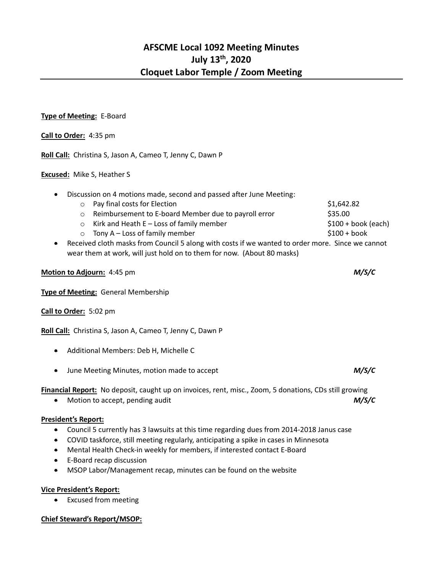### **Type of Meeting:** E-Board

**Call to Order:** 4:35 pm

**Roll Call:** Christina S, Jason A, Cameo T, Jenny C, Dawn P

#### **Excused:** Mike S, Heather S

| $\bullet$ | Discussion on 4 motions made, second and passed after June Meeting: |                                                                                                                |                      |  |
|-----------|---------------------------------------------------------------------|----------------------------------------------------------------------------------------------------------------|----------------------|--|
|           |                                                                     | o Pay final costs for Election                                                                                 | \$1,642.82           |  |
|           | $\circ$                                                             | Reimbursement to E-board Member due to payroll error                                                           | \$35.00              |  |
|           | $\circ$                                                             | Kirk and Heath $E -$ Loss of family member                                                                     | $$100 + book (each)$ |  |
|           | $\circ$                                                             | Tony $A - Loss$ of family member                                                                               | $$100 + book$        |  |
|           |                                                                     | a - Danaiwada data waadoo fugus Caroo dala baasay iyo daaba if waxaana dagaalaa gaday waxaa - Cinaa waa aanaat |                      |  |

• Received cloth masks from Council 5 along with costs if we wanted to order more. Since we cannot wear them at work, will just hold on to them for now. (About 80 masks)

| Motion to Adjourn: 4:45 pm |  | M/S/C |
|----------------------------|--|-------|
|----------------------------|--|-------|

**Type of Meeting:** General Membership

## **Call to Order:** 5:02 pm

**Roll Call:** Christina S, Jason A, Cameo T, Jenny C, Dawn P

- Additional Members: Deb H, Michelle C
- June Meeting Minutes, motion made to accept *M/S/C*

**Financial Report:** No deposit, caught up on invoices, rent, misc., Zoom, 5 donations, CDs still growing

• Motion to accept, pending audit *M/S/C*

## **President's Report:**

- Council 5 currently has 3 lawsuits at this time regarding dues from 2014-2018 Janus case
- COVID taskforce, still meeting regularly, anticipating a spike in cases in Minnesota
- Mental Health Check-in weekly for members, if interested contact E-Board
- E-Board recap discussion
- MSOP Labor/Management recap, minutes can be found on the website

## **Vice President's Report:**

• Excused from meeting

## **Chief Steward's Report/MSOP:**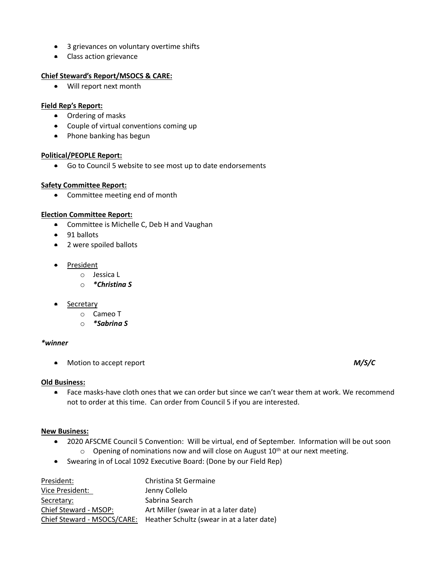- 3 grievances on voluntary overtime shifts
- Class action grievance

## **Chief Steward's Report/MSOCS & CARE:**

• Will report next month

## **Field Rep's Report:**

- Ordering of masks
- Couple of virtual conventions coming up
- Phone banking has begun

## **Political/PEOPLE Report:**

• Go to Council 5 website to see most up to date endorsements

## **Safety Committee Report:**

• Committee meeting end of month

# **Election Committee Report:**

- Committee is Michelle C, Deb H and Vaughan
- 91 ballots
- 2 were spoiled ballots
- President
	- o Jessica L
	- o *\*Christina S*
- Secretary
	- o Cameo T
	- o *\*Sabrina S*

## *\*winner*

• Motion to accept report *M/S/C*

## **Old Business:**

• Face masks-have cloth ones that we can order but since we can't wear them at work. We recommend not to order at this time. Can order from Council 5 if you are interested.

## **New Business:**

- 2020 AFSCME Council 5 Convention: Will be virtual, end of September. Information will be out soon  $\circ$  Opening of nominations now and will close on August 10<sup>th</sup> at our next meeting.
- Swearing in of Local 1092 Executive Board: (Done by our Field Rep)

| President:            | Christina St Germaine                                                  |
|-----------------------|------------------------------------------------------------------------|
| Vice President:       | Jenny Collelo                                                          |
| Secretary:            | Sabrina Search                                                         |
| Chief Steward - MSOP: | Art Miller (swear in at a later date)                                  |
|                       | Chief Steward - MSOCS/CARE: Heather Schultz (swear in at a later date) |